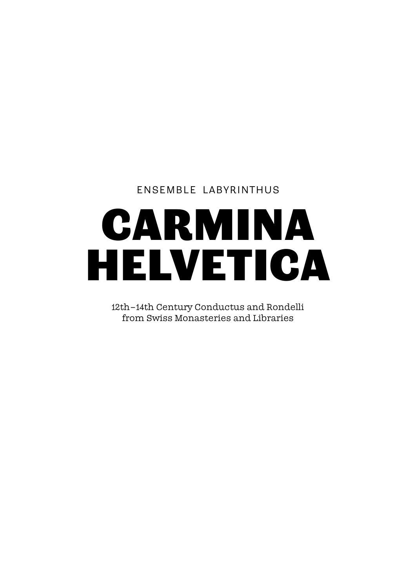## Ensemble Labyrinthus

# CARMINA HELVETICA

12th– 14th Century Conductus and Rondelli from Swiss Monasteries and Libraries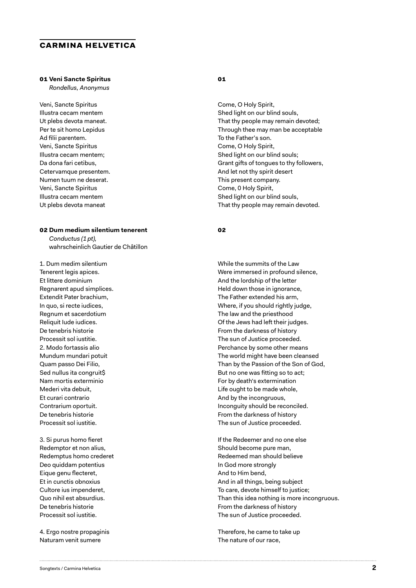#### **carmina helvetica**

#### **01 Veni Sancte Spiritus**

*Rondellus, Anonymus*

Veni, Sancte Spiritus Illustra cecam mentem Ut plebs devota maneat. Per te sit homo Lepidus Ad filii parentem. Veni, Sancte Spiritus Illustra cecam mentem; Da dona fari cetibus, Cetervamque presentem. Numen tuum ne deserat. Veni, Sancte Spiritus Illustra cecam mentem Ut plebs devota maneat

#### **02 Dum medium silentium tenerent**

*Conductus (1pt),*  wahrscheinlich Gautier de Châtillon

1. Dum medim silentium Tenerent legis apices. Et littere dominium Regnarent apud simplices. Extendit Pater brachium, In quo, si recte iudices, Regnum et sacerdotium Reliquit Iude iudices. De tenebris historie Processit sol iustitie. 2. Modo fortassis alio Mundum mundari potuit Quam passo Dei Filio, Sed nullus ita congruit\$ Nam mortis exterminio Mederi vita debuit, Et curari contrario Contrarium oportuit. De tenebris historie Processit sol iustitie.

3. Si purus homo fieret Redemptor et non alius, Redemptus homo crederet Deo quiddam potentius Eique genu flecteret, Et in cunctis obnoxius Cultore ius impenderet, Quo nihil est absurdius. De tenebris historie Processit sol iustitie.

4. Ergo nostre propaginis Naturam venit sumere

#### **01**

Come, O Holy Spirit, Shed light on our blind souls, That thy people may remain devoted; Through thee may man be acceptable To the Father's son. Come, O Holy Spirit, Shed light on our blind souls; Grant gifts of tongues to thy followers, And let not thy spirit desert This present company. Come, 0 Holy Spirit, Shed light on our blind souls, That thy people may remain devoted.

#### **02**

While the summits of the Law Were immersed in profound silence, And the lordship of the letter Held down those in ignorance, The Father extended his arm, Where, if you should rightly judge, The law and the priesthood Of the Jews had left their judges. From the darkness of history The sun of Justice proceeded. Perchance by some other means The world might have been cleansed Than by the Passion of the Son of God, But no one was fitting so to act; For by death's extermination Life ought to be made whole, And by the incongruous, Inconguity should be reconciled. From the darkness of history The sun of Justice proceeded.

If the Redeemer and no one else Should become pure man, Redeemed man should believe In God more strongly And to Him bend, And in all things, being subject To care, devote himself to justice; Than this idea nothing is more incongruous. From the darkness of history The sun of Justice proceeded.

Therefore, he came to take up The nature of our race,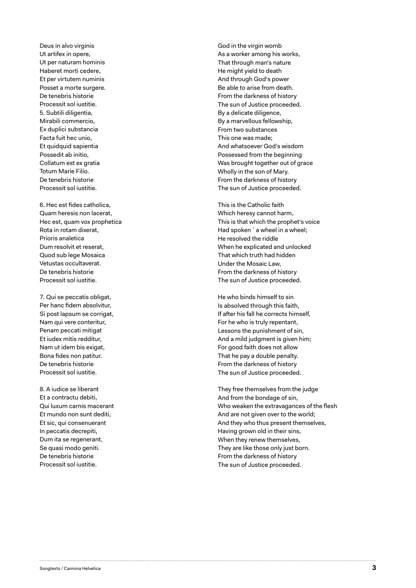Deus in alvo virginis Ut artifex in opere, Ut per naturam hominis Haberet morti cedere, Et per virtutem numinis Posset a morte surgere. De tenebris historie Processit sol iustitie. 5. Subtili diligentia, Mirabili commercio, Ex duplici substancia Facta fuit hec unio, Et quidquid sapientia Possedit ab initio, Collatum est ex gratia Totum Marie Filio. De tenebris historie Processit sol iustitie.

6. Hec est fides catholica, Quam heresis non lacerat, Hec est, quam vox prophetica Rota in rotam dixerat, Prioris analetica Dum resolvit et reserat, Quod sub lege Mosaica Vetustas occultaverat. De tenebris historie Processit sol iustitie.

7. Qui se peccatis obligat, Per hanc fidem absolvitur, Si post lapsum se corrigat, Nam qui vere conteritur, Penam peccati mitigat Et iudex mitis redditur, Nam ut idem bis exigat, Bona fides non patitur. De tenebris historie Processit sol iustitie.

8. A iudice se liberant Et a contractu debiti, Qui luxum carnis macerant Et mundo non sunt dediti, Et sic, qui consenuerant In peccatis decrepiti, Dum ita se regenerant, Se quasi modo geniti. De tenebris historie Processit sol iustitie.

God in the virgin womb As a worker among his works, That through man's nature He might yield to death And through God's power Be able to arise from death. From the darkness of history The sun of Justice proceeded. By a delicate diligence, By a marvellous fellowship, From two substances This one was made; And whatsoever God's wisdom Possessed from the beginning Was brought together out of grace Wholly in the son of Mary. From the darkness of history The sun of Justice proceeded.

This is the Catholic faith Which heresy cannot harm, This is that which the prophet's voice Had spoken `a wheel in a wheel; He resolved the riddle When he explicated and unlocked That which truth had hidden Under the Mosaic Law, From the darkness of history The sun of Justice proceeded.

He who binds himself to sin Is absolved through this faith, If after his fall he corrects himself, For he who is truly repentant, Lessons the punishment of sin, And a mild judgment is given him; For good faith does not allow That he pay a double penalty. From the darkness of history The sun of Justice proceeded.

They free themselves from the judge And from the bondage of sin, Who weaken the extravagances of the flesh And are not given over to the world; And they who thus present themselves, Having grown old in their sins, When they renew themselves, They are like those only just born. From the darkness of history The sun of Justice proceeded.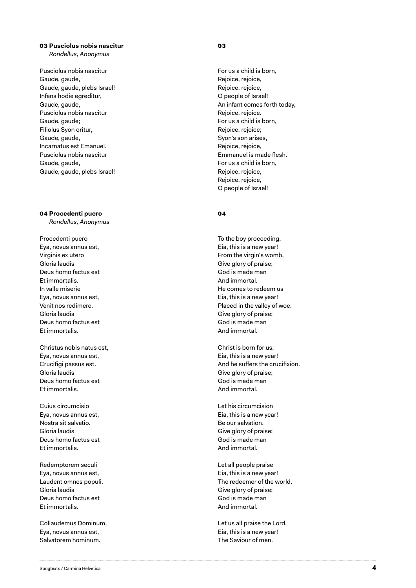#### **03 Pusciolus nobis nascitur** *Rondellus, Anonymus*

Pusciolus nobis nascitur Gaude, gaude, Gaude, gaude, plebs Israel! Infans hodie egreditur, Gaude, gaude, Pusciolus nobis nascitur Gaude, gaude; Filiolus Syon oritur, Gaude, gaude, Incarnatus est Emanuel. Pusciolus nobis nascitur Gaude, gaude, Gaude, gaude, plebs Israel!

#### **04 Procedenti puero**

*Rondellus, Anonymus*

Procedenti puero Eya, novus annus est, Virginis ex utero Gloria laudis Deus homo factus est Et immortalis. In valle miserie Eya, novus annus est, Venit nos redimere. Gloria laudis Deus homo factus est Et immortalis.

Christus nobis natus est, Eya, novus annus est, Crucifigi passus est. Gloria laudis Deus homo factus est Et immortalis.

Cuius circumcisio Eya, novus annus est, Nostra sit salvatio. Gloria laudis Deus homo factus est Et immortalis.

Redemptorem seculi Eya, novus annus est, Laudent omnes populi. Gloria laudis Deus homo factus est Et immortalis.

Collaudemus Dominum, Eya, novus annus est, Salvatorem hominum.

#### **03**

For us a child is born, Rejoice, rejoice, Rejoice, rejoice, O people of Israel! An infant comes forth today, Rejoice, rejoice. For us a child is born, Rejoice, rejoice; Syon's son arises, Rejoice, rejoice, Emmanuel is made flesh. For us a child is born, Rejoice, rejoice, Rejoice, rejoice, O people of Israel!

#### **04**

To the boy proceeding, Eia, this is a new year! From the virgin's womb, Give glory of praise; God is made man And immortal. He comes to redeem us Eia, this is a new year! Placed in the valley of woe. Give glory of praise; God is made man And immortal.

Christ is born for us, Eia, this is a new year! And he suffers the crucifixion. Give glory of praise; God is made man And immortal.

Let his circumcision Eia, this is a new year! Be our salvation. Give glory of praise; God is made man And immortal.

Let all people praise Eia, this is a new year! The redeemer of the world. Give glory of praise; God is made man And immortal.

Let us all praise the Lord, Eia, this is a new year! The Saviour of men.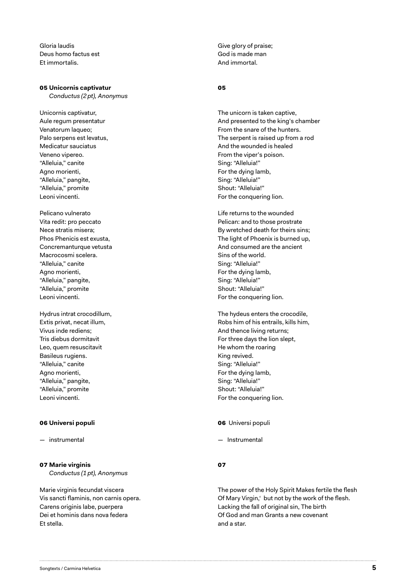Gloria laudis Deus homo factus est Et immortalis.

#### **05 Unicornis captivatur**

*Conductus (2pt), Anonymus*

Unicornis captivatur, Aule regum presentatur Venatorum laqueo; Palo serpens est levatus, Medicatur sauciatus Veneno vipereo. "Alleluia," canite Agno morienti, "Alleluia," pangite, "Alleluia," promite Leoni vincenti.

Pelicano vulnerato Vita redit: pro peccato Nece stratis misera; Phos Phenicis est exusta, Concremanturque vetusta Macrocosmi scelera. "Alleluia," canite Agno morienti, "Alleluia," pangite, "Alleluia," promite Leoni vincenti.

Hydrus intrat crocodillum, Extis privat, necat illum, Vivus inde rediens; Tris diebus dormitavit Leo, quem resuscitavit Basileus rugiens. "Alleluia," canite Agno morienti, "Alleluia," pangite, "Alleluia," promite Leoni vincenti.

#### **06 Universi populi**

*—* instrumental

#### **07 Marie virginis**

*Conductus (1pt), Anonymus*

Marie virginis fecundat viscera Vis sancti flaminis, non carnis opera. Carens originis labe, puerpera Dei et hominis dans nova federa Et stella.

Give glory of praise; God is made man And immortal.

#### **05**

The unicorn is taken captive, And presented to the king's chamber From the snare of the hunters. The serpent is raised up from a rod And the wounded is healed From the viper's poison. Sing: "Alleluia!" For the dying lamb, Sing: "Alleluia!" Shout: "Alleluia!" For the conquering lion.

Life returns to the wounded Pelican: and to those prostrate By wretched death for theirs sins; The light of Phoenix is burned up, And consumed are the ancient Sins of the world. Sing: "Alleluia!" For the dying lamb, Sing: "Alleluia!" Shout: "Alleluia!" For the conquering lion.

The hydeus enters the crocodile, Robs him of his entrails, kills him, And thence living returns; For three days the lion slept, He whom the roaring King revived. Sing: "Alleluia!" For the dying lamb, Sing: "Alleluia!" Shout: "Alleluia!" For the conquering lion.

#### **06** Universi populi

— Instrumental

#### **07**

The power of the Holy Spirit Makes fertile the flesh Of Mary Virgin,' but not by the work of the flesh. Lacking the fall of original sin, The birth Of God and man Grants a new covenant and a star.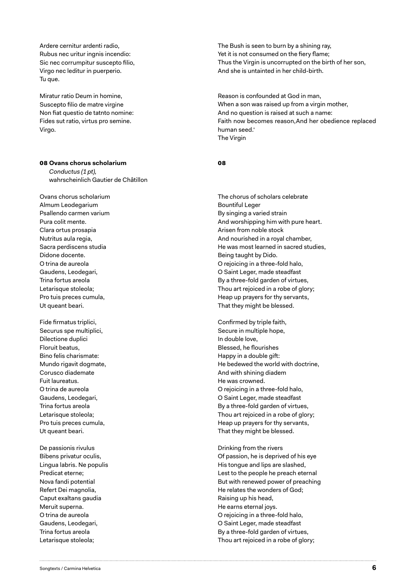Ardere cernitur ardenti radio, Rubus nec uritur ingnis incendio: Sic nec corrumpitur suscepto filio, Virgo nec leditur in puerperio. Tu que.

Miratur ratio Deum in homine, Suscepto filio de matre virgine Non fiat questio de tatnto nomine: Fides sut ratio, virtus pro semine. Virgo.

#### **08 Ovans chorus scholarium**

*Conductus (1pt),* wahrscheinlich Gautier de Châtillon

Ovans chorus scholarium Almum Leodegarium Psallendo carmen varium Pura colit mente. Clara ortus prosapia Nutritus aula regia, Sacra perdiscens studia Didone docente. O trina de aureola Gaudens, Leodegari, Trina fortus areola Letarisque stoleola; Pro tuis preces cumula, Ut queant beari.

Fide firmatus triplici, Securus spe multiplici, Dilectione duplici Floruit beatus, Bino felis charismate: Mundo rigavit dogmate, Corusco diademate Fuit laureatus. O trina de aureola Gaudens, Leodegari, Trina fortus areola Letarisque stoleola; Pro tuis preces cumula, Ut queant beari.

De passionis rivulus Bibens privatur oculis, Lingua labris. Ne populis Predicat eterne; Nova fandi potential Refert Dei magnolia, Caput exaltans gaudia Meruit superna. O trina de aureola Gaudens, Leodegari, Trina fortus areola Letarisque stoleola;

The Bush is seen to burn by a shining ray, Yet it is not consumed on the fiery flame; Thus the Virgin is uncorrupted on the birth of her son, And she is untainted in her child-birth.

Reason is confounded at God in man, When a son was raised up from a virgin mother, And no question is raised at such a name: Faith now becomes reason,And her obedience replaced human seed.' The Virgin

#### **08**

The chorus of scholars celebrate Bountiful Leger By singing a varied strain And worshipping him with pure heart. Arisen from noble stock And nourished in a royal chamber, He was most learned in sacred studies, Being taught by Dido. O rejoicing in a three-fold halo, O Saint Leger, made steadfast By a three-fold garden of virtues, Thou art rejoiced in a robe of glory; Heap up prayers for thy servants, That they might be blessed.

Confirmed by triple faith, Secure in multiple hope, In double love, Blessed, he flourishes Happy in a double gift: He bedewed the world with doctrine, And with shining diadem He was crowned. O rejoicing in a three-fold halo, O Saint Leger, made steadfast By a three-fold garden of virtues, Thou art rejoiced in a robe of glory; Heap up prayers for thy servants, That they might be blessed.

Drinking from the rivers Of passion, he is deprived of his eye His tongue and lips are slashed, Lest to the people he preach eternal But with renewed power of preaching He relates the wonders of God; Raising up his head, He earns eternal joys. O rejoicing in a three-fold halo, O Saint Leger, made steadfast By a three-fold garden of virtues, Thou art rejoiced in a robe of glory;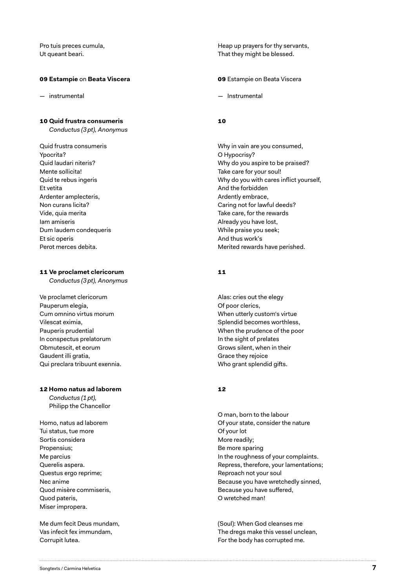Pro tuis preces cumula, Ut queant beari.

#### **09 Estampie** on **Beata Viscera**

*—* instrumental

#### **10 Quid frustra consumeris**

*Conductus (3pt), Anonymus*

Quid frustra consumeris Ypocrita? Quid laudari niteris? Mente sollicita! Quid te rebus ingeris Et vetita Ardenter amplecteris, Non curans licita? Vide, quia merita Iam amiseris Dum laudem condequeris Et sic operis Perot merces debita.

#### **11 Ve proclamet clericorum**

*Conductus (3pt), Anonymus*

Ve proclamet clericorum Pauperum elegia, Cum omnino virtus morum Vilescat eximia, Pauperis prudential In conspectus prelatorum Obmutescit, et eorum Gaudent illi gratia, Qui preclara tribuunt exennia.

#### **12 Homo natus ad laborem**

*Conductus (1pt),* Philipp the Chancellor

Homo, natus ad laborem Tui status, tue more Sortis considera Propensius; Me parcius Querelis aspera. Questus ergo reprime; Nec anime Quod misère commiseris, Quod pateris, Miser impropera.

Me dum fecit Deus mundam, Vas infecit fex immundam, Corrupit lutea.

Heap up prayers for thy servants, That they might be blessed.

**09** Estampie on Beata Viscera

— Instrumental

#### **10**

Why in vain are you consumed, O Hypocrisy? Why do you aspire to be praised? Take care for your soul! Why do you with cares inflict yourself, And the forbidden Ardently embrace, Caring not for lawful deeds? Take care, for the rewards Already you have lost, While praise you seek; And thus work's Merited rewards have perished.

#### **11**

Alas: cries out the elegy Of poor clerics, When utterly custom's virtue Splendid becomes worthless, When the prudence of the poor In the sight of prelates Grows silent, when in their Grace they rejoice Who grant splendid gifts.

#### **12**

O man, born to the labour Of your state, consider the nature Of your lot More readily; Be more sparing In the roughness of your complaints. Repress, therefore, your lamentations; Reproach not your soul Because you have wretchedly sinned, Because you have suffered, O wretched man!

(Soul): When God cleanses me The dregs make this vessel unclean, For the body has corrupted me.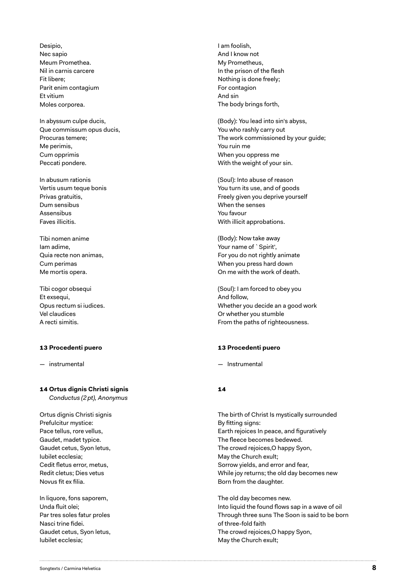Desipio, Nec sapio Meum Promethea. Nil in carnis carcere Fit libere; Parit enim contagium Et vitium Moles corporea.

In abyssum culpe ducis, Que commissum opus ducis, Procuras temere; Me perimis, Cum opprimis Peccati pondere.

In abusum rationis Vertis usum teque bonis Privas gratuitis, Dum sensibus Assensibus Faves illicitis.

Tibi nomen anime Iam adime, Quia recte non animas, Cum perimas Me mortis opera.

Tibi cogor obsequi Et exsequi, Opus rectum si iudices. Vel claudices A recti simitis.

#### **13 Procedenti puero**

— instrumental

#### **14 Ortus dignis Christi signis**

*Conductus (2pt), Anonymus*

Ortus dignis Christi signis Prefulcitur mystice: Pace tellus, rore vellus, Gaudet, madet typice. Gaudet cetus, Syon letus, Iubilet ecclesia; Cedit fletus error, metus, Redit cletus; Dies vetus Novus fit ex filia.

In liquore, fons saporem, Unda fluit olei; Par tres soles fatur proles Nasci trine fidei. Gaudet cetus, Syon letus, Iubilet ecclesia;

I am foolish, And I know not My Prometheus, In the prison of the flesh Nothing is done freely; For contagion And sin The body brings forth,

(Body): You lead into sin's abyss, You who rashly carry out The work commissioned by your guide; You ruin me When you oppress me With the weight of your sin.

(Soul): Into abuse of reason You turn its use, and of goods Freely given you deprive yourself When the senses You favour With illicit approbations.

(Body): Now take away Your name of `Spirit', For you do not rightly animate When you press hard down On me with the work of death.

(Soul): I am forced to obey you And follow, Whether you decide an a good work Or whether you stumble From the paths of righteousness.

#### **13 Procedenti puero**

— Instrumental

#### **14**

The birth of Christ Is mystically surrounded By fitting signs: Earth rejoices In peace, and figuratively The fleece becomes bedewed. The crowd rejoices,O happy Syon, May the Church exult; Sorrow yields, and error and fear, While joy returns; the old day becomes new Born from the daughter.

The old day becomes new. Into liquid the found flows sap in a wave of oil Through three suns The Soon is said to be born of three-fold faith The crowd rejoices,O happy Syon, May the Church exult;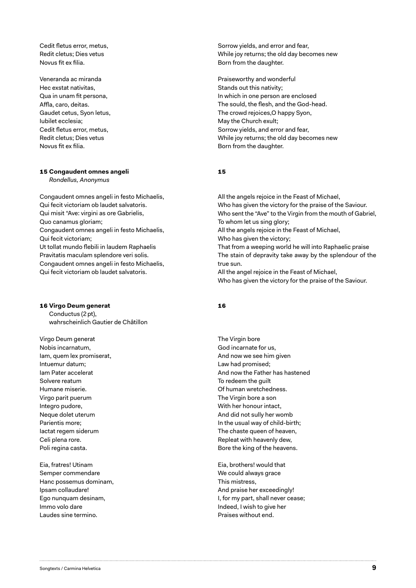Cedit fletus error, metus, Redit cletus; Dies vetus Novus fit ex filia.

Veneranda ac miranda Hec exstat nativitas, Qua in unam fit persona, Affla, caro, deitas. Gaudet cetus, Syon letus, Iubilet ecclesia; Cedit fletus error, metus, Redit cletus; Dies vetus Novus fit ex filia.

#### **15 Congaudent omnes angeli**

*Rondellus, Anonymus*

Congaudent omnes angeli in festo Michaelis, Qui fecit victoriam ob laudet salvatoris. Qui misit "Ave: virgini as ore Gabrielis, Quo canamus gloriam; Congaudent omnes angeli in festo Michaelis, Qui fecit victoriam; Ut tollat mundo flebili in laudem Raphaelis Pravitatis maculam splendore veri solis. Congaudent omnes angeli in festo Michaelis, Qui fecit victoriam ob laudet salvatoris.

#### **16 Virgo Deum generat**

Conductus (2pt), wahrscheinlich Gautier de Châtillon

Virgo Deum generat Nobis incarnatum, Iam, quem lex promiserat, Intuemur datum; Iam Pater accelerat Solvere reatum Humane miserie. Virgo parit puerum Integro pudore, Neque dolet uterum Parientis more; Iactat regem siderum Celi plena rore. Poli regina casta.

Eia, fratres! Utinam Semper commendare Hanc possemus dominam, Ipsam collaudare! Ego nunquam desinam, Immo volo dare Laudes sine termino.

Sorrow yields, and error and fear, While joy returns; the old day becomes new Born from the daughter.

Praiseworthy and wonderful Stands out this nativity; In which in one person are enclosed The sould, the flesh, and the God-head. The crowd rejoices,O happy Syon, May the Church exult; Sorrow yields, and error and fear, While joy returns; the old day becomes new Born from the daughter.

#### **15**

All the angels rejoice in the Feast of Michael, Who has given the victory for the praise of the Saviour. Who sent the "Ave" to the Virgin from the mouth of Gabriel, To whom let us sing glory; All the angels rejoice in the Feast of Michael, Who has given the victory; That from a weeping world he will into Raphaelic praise The stain of depravity take away by the splendour of the true sun. All the angel rejoice in the Feast of Michael, Who has given the victory for the praise of the Saviour.

#### **16**

The Virgin bore God incarnate for us, And now we see him given Law had promised; And now the Father has hastened To redeem the guilt Of human wretchedness. The Virgin bore a son With her honour intact, And did not sully her womb In the usual way of child-birth; The chaste queen of heaven, Repleat with heavenly dew, Bore the king of the heavens.

Eia, brothers! would that We could always grace This mistress, And praise her exceedingly! I, for my part, shall never cease; Indeed, I wish to give her Praises without end.